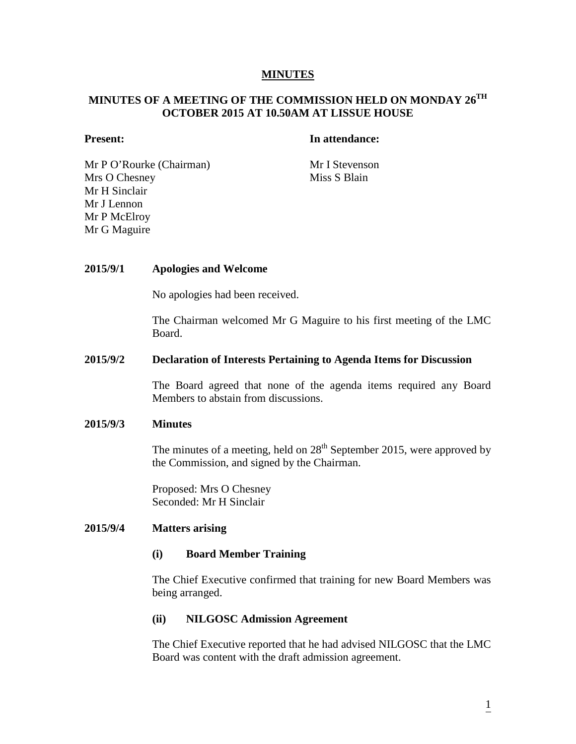#### **MINUTES**

# **MINUTES OF A MEETING OF THE COMMISSION HELD ON MONDAY 26TH OCTOBER 2015 AT 10.50AM AT LISSUE HOUSE**

# **Present: In attendance:**

Mr P O'Rourke (Chairman) Mr I Stevenson Mrs O Chesney Mr H Sinclair Mr J Lennon Mr P McElroy Mr G Maguire

Miss S Blain

# **2015/9/1 Apologies and Welcome**

No apologies had been received.

The Chairman welcomed Mr G Maguire to his first meeting of the LMC Board.

#### **2015/9/2 Declaration of Interests Pertaining to Agenda Items for Discussion**

The Board agreed that none of the agenda items required any Board Members to abstain from discussions.

#### **2015/9/3 Minutes**

The minutes of a meeting, held on  $28<sup>th</sup>$  September 2015, were approved by the Commission, and signed by the Chairman.

Proposed: Mrs O Chesney Seconded: Mr H Sinclair

#### **2015/9/4 Matters arising**

#### **(i) Board Member Training**

The Chief Executive confirmed that training for new Board Members was being arranged.

#### **(ii) NILGOSC Admission Agreement**

The Chief Executive reported that he had advised NILGOSC that the LMC Board was content with the draft admission agreement.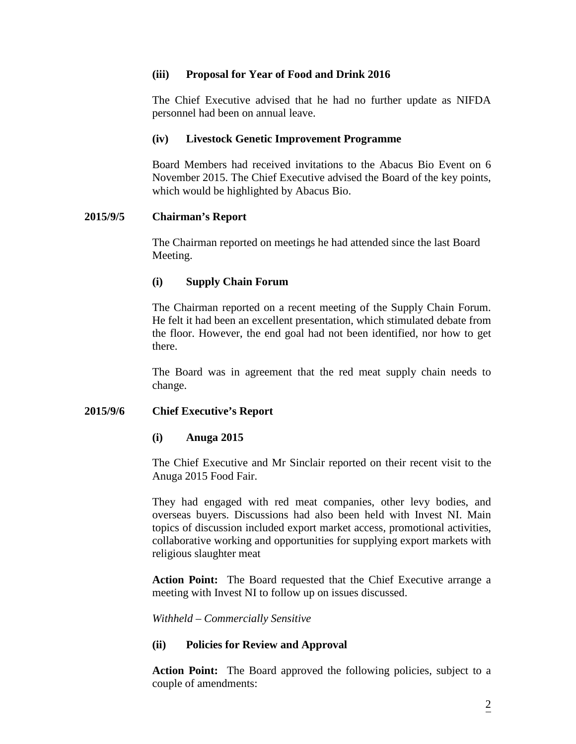# **(iii) Proposal for Year of Food and Drink 2016**

The Chief Executive advised that he had no further update as NIFDA personnel had been on annual leave.

## **(iv) Livestock Genetic Improvement Programme**

Board Members had received invitations to the Abacus Bio Event on 6 November 2015. The Chief Executive advised the Board of the key points, which would be highlighted by Abacus Bio.

# **2015/9/5 Chairman's Report**

The Chairman reported on meetings he had attended since the last Board Meeting.

#### **(i) Supply Chain Forum**

The Chairman reported on a recent meeting of the Supply Chain Forum. He felt it had been an excellent presentation, which stimulated debate from the floor. However, the end goal had not been identified, nor how to get there.

The Board was in agreement that the red meat supply chain needs to change.

# **2015/9/6 Chief Executive's Report**

#### **(i) Anuga 2015**

The Chief Executive and Mr Sinclair reported on their recent visit to the Anuga 2015 Food Fair.

They had engaged with red meat companies, other levy bodies, and overseas buyers. Discussions had also been held with Invest NI. Main topics of discussion included export market access, promotional activities, collaborative working and opportunities for supplying export markets with religious slaughter meat

**Action Point:** The Board requested that the Chief Executive arrange a meeting with Invest NI to follow up on issues discussed.

*Withheld – Commercially Sensitive*

# **(ii) Policies for Review and Approval**

**Action Point:** The Board approved the following policies, subject to a couple of amendments: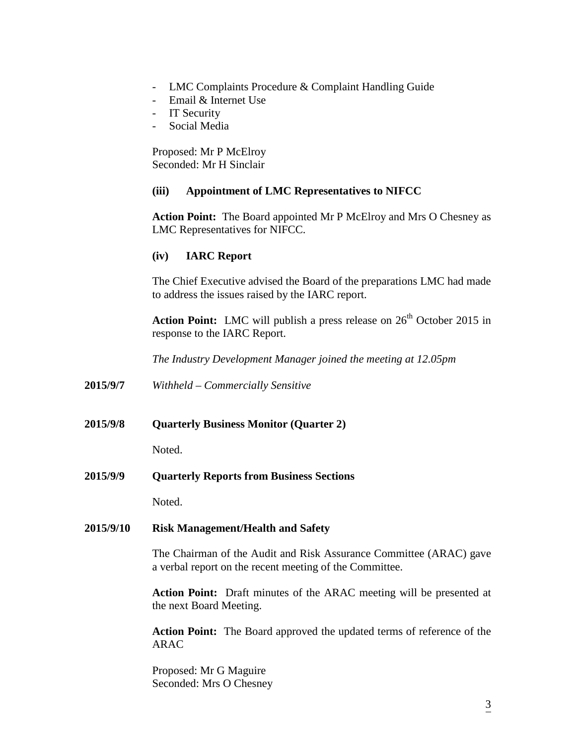- LMC Complaints Procedure & Complaint Handling Guide
- Email & Internet Use
- IT Security
- Social Media

Proposed: Mr P McElroy Seconded: Mr H Sinclair

# **(iii) Appointment of LMC Representatives to NIFCC**

**Action Point:** The Board appointed Mr P McElroy and Mrs O Chesney as LMC Representatives for NIFCC.

# **(iv) IARC Report**

The Chief Executive advised the Board of the preparations LMC had made to address the issues raised by the IARC report.

**Action Point:** LMC will publish a press release on 26<sup>th</sup> October 2015 in response to the IARC Report.

*The Industry Development Manager joined the meeting at 12.05pm*

- **2015/9/7** *Withheld – Commercially Sensitive*
- **2015/9/8 Quarterly Business Monitor (Quarter 2)**

Noted.

**2015/9/9 Quarterly Reports from Business Sections**

Noted.

# **2015/9/10 Risk Management/Health and Safety**

The Chairman of the Audit and Risk Assurance Committee (ARAC) gave a verbal report on the recent meeting of the Committee.

**Action Point:** Draft minutes of the ARAC meeting will be presented at the next Board Meeting.

**Action Point:** The Board approved the updated terms of reference of the ARAC

Proposed: Mr G Maguire Seconded: Mrs O Chesney